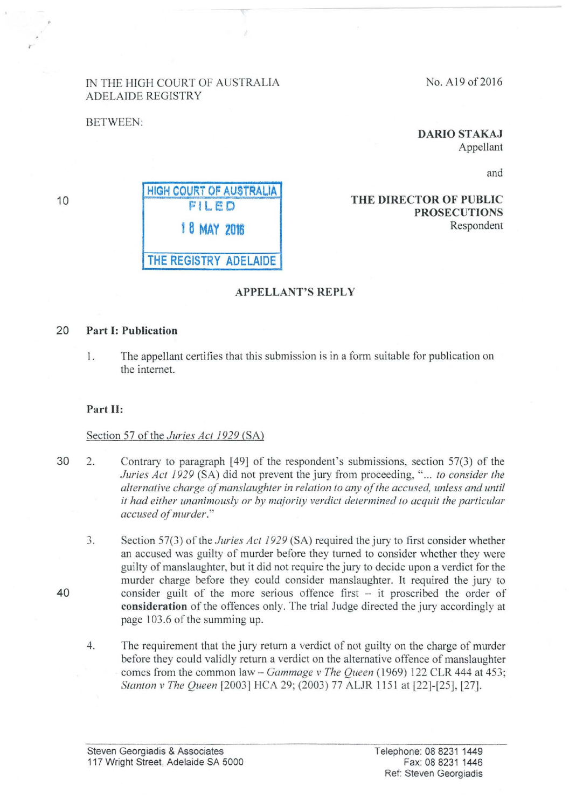# IN THE HIGH COURT OF AUSTRALIA ADELAIDE REGISTRY

BETWEEN:

DARIO STAKAJ

Appellant

and

# THE DIRECTOR OF PUBLIC PROSECUTIONS Respondent

# APPELLANT'S REPLY

## 20 Part 1: Publication

1. The appellant certifies that this submission is in a form suitable for publication on the intemet.

#### Part 11:

#### Section 57 of the *Juries Act 1929* (SA)

- 30 2. Contrary to paragraph [49] of the respondent's submissions, section 57(3) of the *Juries Act 1929* (SA) did not prevent the jury from proceeding, "... *to consider the alternative charge of manslaughter in relation to any of the accused, unless and until it had either unanimously or by majority verdict determined to acquit the particular accused of murder.*"
	- .., Section 57(3) of the *Juries Act 1929* (SA) required the jury to first consider whether an accused was guilty of murder before they turned to consider whether they were guilty of manslaughter, but it did not require the jury to decide upon a verdict for the murder charge before they could consider manslaughter. It required the jury to consider guilt of the more serious offence first – it proscribed the order of consideration of the offences only. The trial Judge directed the jury accordingly at page 103.6 of the summing up.
	- 4. The requirement that the jury return a verdict of not guilty on the charge of murder before they could validly return a verdict on the alternative offence of manslaughter comes from the common law- *Gammage v The Queen* (1969) 122 CLR 444 at 453; *Stanton v The Queen* [2003] HCA 29; (2003) 77 ALJR 1151 at [22]-[25], [27].

40

10

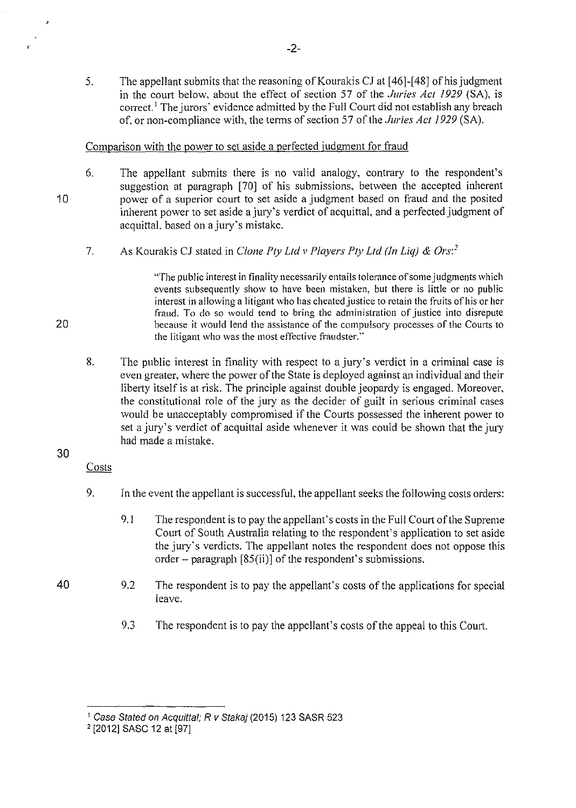5. The appellant submits that the reasoning of Kourakis CJ at [46]-[48] of his judgment in the court below. about the effect of section 57 of the *Juries Act 1929* (SA), is correct.<sup>1</sup> The jurors' evidence admitted by the Full Court did not establish any breach of. or non-compliance with, the terms of section 57 of the *Juries Act 1929* (SA).

## Comparison with the power to set aside a perfected judgment for fraud

- 6. The appellant submits there is no valid analogy, contrary to the respondent's suggestion at paragraph [70] of his submissions, between the accepted inherent power of a superior court to set aside a judgment based on fraud and the posited inherent power to set aside a jury's verdict of acquittal, and a perfected judgment of acquittal. based on a jury's mistake.
	- 7. As Kourakis CJ stated in *Clone Pty Ltd v Players Ply Ltd* (in *Liq)* & *Ors: <sup>2</sup>*

"The public interest in finality necessarily entails tolerance of some judgments which events subsequently show to have been mistaken, but there is little or no public interest in allowing a litigant who has cheated justice to retain the fruits of his or her fraud. To do so would tend to bring the administration of justice into disrepute because it would lend the assistance of the compulsory processes of the Courts to the litigant who was the most effective fraudster.''

8. The public interest in finality with respect to a jury's verdict in a criminal case is even greater, where the power of the State is deployed against an individual and their liberty itself is at risk. The principle against double jeopardy is engaged. Moreover, the constitutional role of the jury as the decider of guilt in serious criminal cases would be unacceptably compromised if the Courts possessed the inherent power to set a jury's verdict of acquittal aside whenever it was could be shown that the jury had made a mistake.

# 30

40

'

10

20

,.

- Costs
- 9. In the event the appellant is successful, the appellant seeks the following costs orders:
	- 9.1 The respondent is to pay the appellant's costs in the Full Court of the Supreme Court of South Australia relating to the respondent's application to set aside the jury's verdicts. The appellant notes the respondent does not oppose this order – paragraph  $[85(ii)]$  of the respondent's submissions.
- 9.2 The respondent is to pay the appellant's costs of the applications for special leave.
	- 9.3 The respondent is to pay the appellant's costs of the appeal to this Court.

<sup>1</sup>Case Stated on Acquittal; R v Stakaj (2015) 123 SASR 523

<sup>2</sup>[2012] SASC 12 at [97]